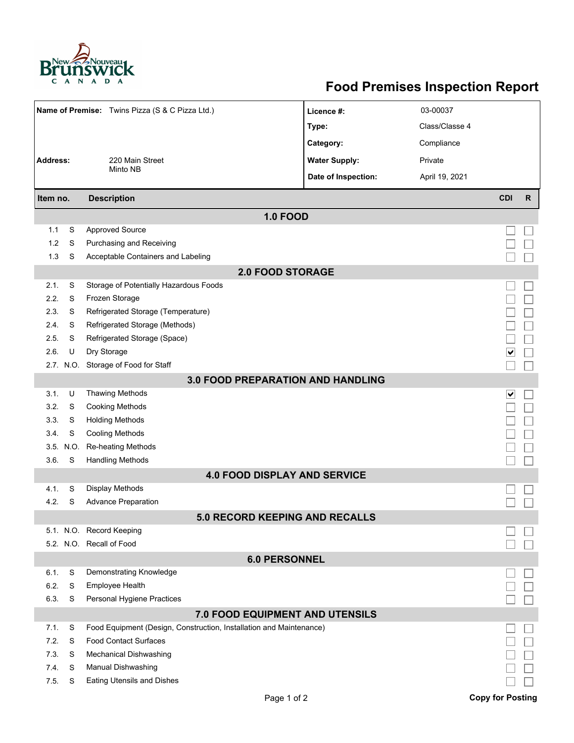

## **Food Premises Inspection Report**

|                                                                                                                     |        |                                            |                      | 03-00037       |                         |              |  |  |  |  |  |  |
|---------------------------------------------------------------------------------------------------------------------|--------|--------------------------------------------|----------------------|----------------|-------------------------|--------------|--|--|--|--|--|--|
| Name of Premise: Twins Pizza (S & C Pizza Ltd.)                                                                     |        |                                            | Licence #:           |                |                         |              |  |  |  |  |  |  |
|                                                                                                                     |        |                                            | Type:                | Class/Classe 4 |                         |              |  |  |  |  |  |  |
|                                                                                                                     |        |                                            | Category:            | Compliance     |                         |              |  |  |  |  |  |  |
| Address:                                                                                                            |        | 220 Main Street                            | <b>Water Supply:</b> | Private        |                         |              |  |  |  |  |  |  |
|                                                                                                                     |        | Minto NB                                   | Date of Inspection:  | April 19, 2021 |                         |              |  |  |  |  |  |  |
| Item no.                                                                                                            |        | <b>Description</b>                         |                      |                | <b>CDI</b>              | $\mathsf{R}$ |  |  |  |  |  |  |
| <b>1.0 FOOD</b>                                                                                                     |        |                                            |                      |                |                         |              |  |  |  |  |  |  |
| 1.1                                                                                                                 | S      | <b>Approved Source</b>                     |                      |                |                         |              |  |  |  |  |  |  |
| 1.2                                                                                                                 | S      | <b>Purchasing and Receiving</b>            |                      |                |                         |              |  |  |  |  |  |  |
| 1.3                                                                                                                 | S      | Acceptable Containers and Labeling         |                      |                |                         |              |  |  |  |  |  |  |
| <b>2.0 FOOD STORAGE</b>                                                                                             |        |                                            |                      |                |                         |              |  |  |  |  |  |  |
| 2.1.                                                                                                                | S      | Storage of Potentially Hazardous Foods     |                      |                |                         |              |  |  |  |  |  |  |
| 2.2.                                                                                                                | S      | Frozen Storage                             |                      |                |                         |              |  |  |  |  |  |  |
| 2.3.                                                                                                                | S      | Refrigerated Storage (Temperature)         |                      |                |                         |              |  |  |  |  |  |  |
| 2.4.                                                                                                                | S      | Refrigerated Storage (Methods)             |                      |                |                         |              |  |  |  |  |  |  |
| 2.5.                                                                                                                | S      | Refrigerated Storage (Space)               |                      |                |                         |              |  |  |  |  |  |  |
| 2.6.                                                                                                                | U      | Dry Storage                                |                      |                | $\vert\bm{\vee}\vert$   |              |  |  |  |  |  |  |
|                                                                                                                     |        | 2.7. N.O. Storage of Food for Staff        |                      |                |                         |              |  |  |  |  |  |  |
| 3.0 FOOD PREPARATION AND HANDLING                                                                                   |        |                                            |                      |                |                         |              |  |  |  |  |  |  |
| 3.1.                                                                                                                | U      | <b>Thawing Methods</b>                     |                      |                | ⊻                       |              |  |  |  |  |  |  |
| 3.2.                                                                                                                | S      | <b>Cooking Methods</b>                     |                      |                |                         |              |  |  |  |  |  |  |
| 3.3.                                                                                                                | S      | <b>Holding Methods</b>                     |                      |                |                         |              |  |  |  |  |  |  |
| 3.4.                                                                                                                | S      | <b>Cooling Methods</b>                     |                      |                |                         |              |  |  |  |  |  |  |
| 3.5.                                                                                                                | N.O.   | Re-heating Methods                         |                      |                |                         |              |  |  |  |  |  |  |
| 3.6.                                                                                                                | S      | <b>Handling Methods</b>                    |                      |                |                         |              |  |  |  |  |  |  |
|                                                                                                                     |        | <b>4.0 FOOD DISPLAY AND SERVICE</b>        |                      |                |                         |              |  |  |  |  |  |  |
| 4.1.                                                                                                                | S      | <b>Display Methods</b>                     |                      |                |                         |              |  |  |  |  |  |  |
| 4.2.                                                                                                                | S      | <b>Advance Preparation</b>                 |                      |                |                         |              |  |  |  |  |  |  |
|                                                                                                                     |        | <b>5.0 RECORD KEEPING AND RECALLS</b>      |                      |                |                         |              |  |  |  |  |  |  |
|                                                                                                                     |        | 5.1. N.O. Record Keeping                   |                      |                |                         |              |  |  |  |  |  |  |
|                                                                                                                     |        | 5.2. N.O. Recall of Food                   |                      |                |                         |              |  |  |  |  |  |  |
| <b>6.0 PERSONNEL</b>                                                                                                |        |                                            |                      |                |                         |              |  |  |  |  |  |  |
| 6.1.<br>6.2.                                                                                                        | S<br>S | Demonstrating Knowledge<br>Employee Health |                      |                |                         |              |  |  |  |  |  |  |
| 6.3.                                                                                                                | S      | Personal Hygiene Practices                 |                      |                |                         |              |  |  |  |  |  |  |
|                                                                                                                     |        |                                            |                      |                |                         |              |  |  |  |  |  |  |
| 7.0 FOOD EQUIPMENT AND UTENSILS<br>7.1.<br>S<br>Food Equipment (Design, Construction, Installation and Maintenance) |        |                                            |                      |                |                         |              |  |  |  |  |  |  |
| 7.2.                                                                                                                | S      | <b>Food Contact Surfaces</b>               |                      |                |                         |              |  |  |  |  |  |  |
| 7.3.                                                                                                                | S      | Mechanical Dishwashing                     |                      |                |                         |              |  |  |  |  |  |  |
| 7.4.                                                                                                                | S      | Manual Dishwashing                         |                      |                |                         |              |  |  |  |  |  |  |
| 7.5.                                                                                                                | S      | <b>Eating Utensils and Dishes</b>          |                      |                |                         |              |  |  |  |  |  |  |
|                                                                                                                     |        | Page 1 of 2                                |                      |                | <b>Copy for Posting</b> |              |  |  |  |  |  |  |